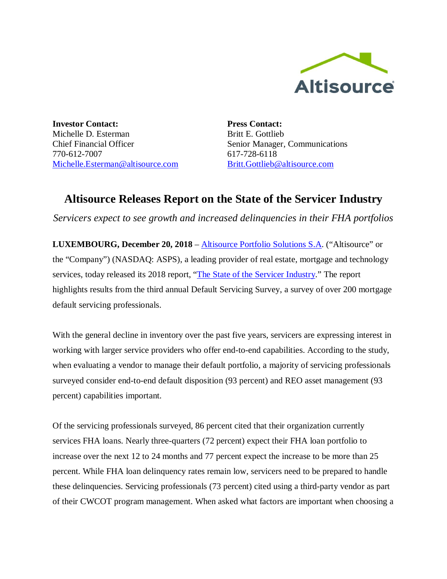

**Investor Contact:** Michelle D. Esterman Chief Financial Officer 770-612-7007 Michelle.Esterman@altisource.com **Press Contact:** Britt E. Gottlieb Senior Manager, Communications 617-728-6118 Britt.Gottlieb@altisource.com

## **Altisource Releases Report on the State of the Servicer Industry**

*Servicers expect to see growth and increased delinquencies in their FHA portfolios*

**LUXEMBOURG, December 20, 2018** – Altisource Portfolio Solutions S.A. ("Altisource" or the "Company") (NASDAQ: ASPS), a leading provider of real estate, mortgage and technology services, today released its 2018 report, "The State of the Servicer Industry." The report highlights results from the third annual Default Servicing Survey, a survey of over 200 mortgage default servicing professionals.

With the general decline in inventory over the past five years, servicers are expressing interest in working with larger service providers who offer end-to-end capabilities. According to the study, when evaluating a vendor to manage their default portfolio, a majority of servicing professionals surveyed consider end-to-end default disposition (93 percent) and REO asset management (93 percent) capabilities important.

Of the servicing professionals surveyed, 86 percent cited that their organization currently services FHA loans. Nearly three-quarters (72 percent) expect their FHA loan portfolio to increase over the next 12 to 24 months and 77 percent expect the increase to be more than 25 percent. While FHA loan delinquency rates remain low, servicers need to be prepared to handle these delinquencies. Servicing professionals (73 percent) cited using a third-party vendor as part of their CWCOT program management. When asked what factors are important when choosing a